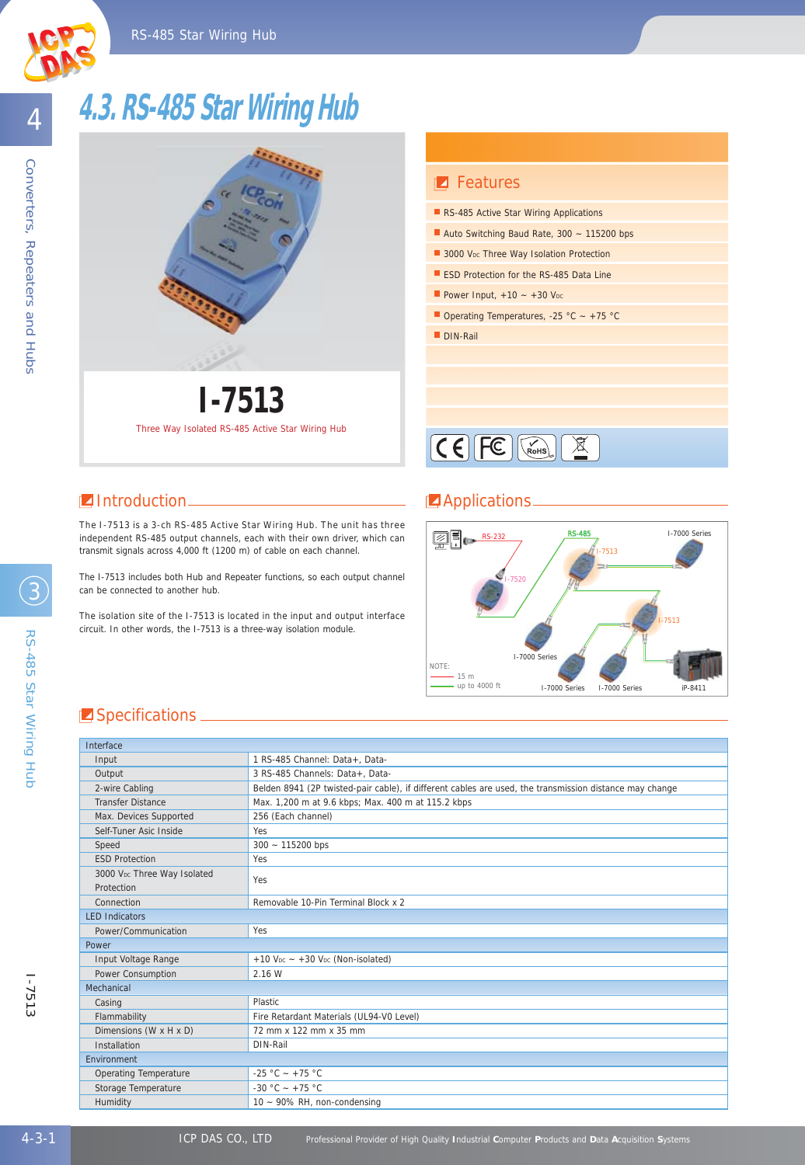# **4.3. RS-485 Star Wiring Hub**



**Z** Features RS-485 Active Star Wiring Applications Auto Switching Baud Rate, 300 ~ 115200 bps ESD Protection for the RS-485 Data Line 3000 V<sub>DC</sub> Three Way Isolation Protection Power Input,  $+10 - +30$  Voc

Operating Temperatures, -25 °C ~ +75 °C

DIN-Rail

 $\underbrace{\mathsf{CE}}$ 

The I-7513 is a 3-ch RS-485 Active Star Wiring Hub. The unit has three independent RS-485 output channels, each with their own driver, which can transmit signals across 4,000 ft (1200 m) of cable on each channel.

Three Way Isolated RS-485 Active Star Wiring Hub **I-7513**

The I-7513 includes both Hub and Repeater functions, so each output channel can be connected to another hub.

The isolation site of the I-7513 is located in the input and output interface circuit. In other words, the I-7513 is a three-way isolation module.

#### **I** Introduction **Applications**



### **Specifications**

| Interface                                             |                                                                                                         |  |  |  |
|-------------------------------------------------------|---------------------------------------------------------------------------------------------------------|--|--|--|
| Input                                                 | 1 RS-485 Channel: Data+. Data-                                                                          |  |  |  |
| Output                                                | 3 RS-485 Channels: Data+, Data-                                                                         |  |  |  |
| 2-wire Cabling                                        | Belden 8941 (2P twisted-pair cable), if different cables are used, the transmission distance may change |  |  |  |
| <b>Transfer Distance</b>                              | Max. 1,200 m at 9.6 kbps; Max. 400 m at 115.2 kbps                                                      |  |  |  |
| Max. Devices Supported                                | 256 (Each channel)                                                                                      |  |  |  |
| Self-Tuner Asic Inside                                | Yes                                                                                                     |  |  |  |
| Speed                                                 | $300 - 115200$ bps                                                                                      |  |  |  |
| <b>FSD Protection</b>                                 | Yes                                                                                                     |  |  |  |
| 3000 V <sub>pc</sub> Three Way Isolated<br>Protection | Yes                                                                                                     |  |  |  |
| Connection                                            | Removable 10-Pin Terminal Block x 2                                                                     |  |  |  |
| <b>LED Indicators</b>                                 |                                                                                                         |  |  |  |
| Power/Communication                                   | Yes                                                                                                     |  |  |  |
| Power                                                 |                                                                                                         |  |  |  |
| Input Voltage Range                                   | $+10$ V <sub>pc</sub> $- +30$ V <sub>pc</sub> (Non-isolated)                                            |  |  |  |
| Power Consumption                                     | 2.16 W                                                                                                  |  |  |  |
| Mechanical                                            |                                                                                                         |  |  |  |
| Casing                                                | Plastic.                                                                                                |  |  |  |
| Flammability                                          | Fire Retardant Materials (UL94-V0 Level)                                                                |  |  |  |
| Dimensions (W x H x D)                                | 72 mm x 122 mm x 35 mm                                                                                  |  |  |  |
| Installation                                          | DIN-Rail                                                                                                |  |  |  |
| <b>Fnvironment</b>                                    |                                                                                                         |  |  |  |
| <b>Operating Temperature</b>                          | $-25 °C - +75 °C$                                                                                       |  |  |  |
| Storage Temperature                                   | $-30$ °C $- +75$ °C                                                                                     |  |  |  |
| Humidity                                              | $10 - 90\%$ RH, non-condensing                                                                          |  |  |  |

4

3